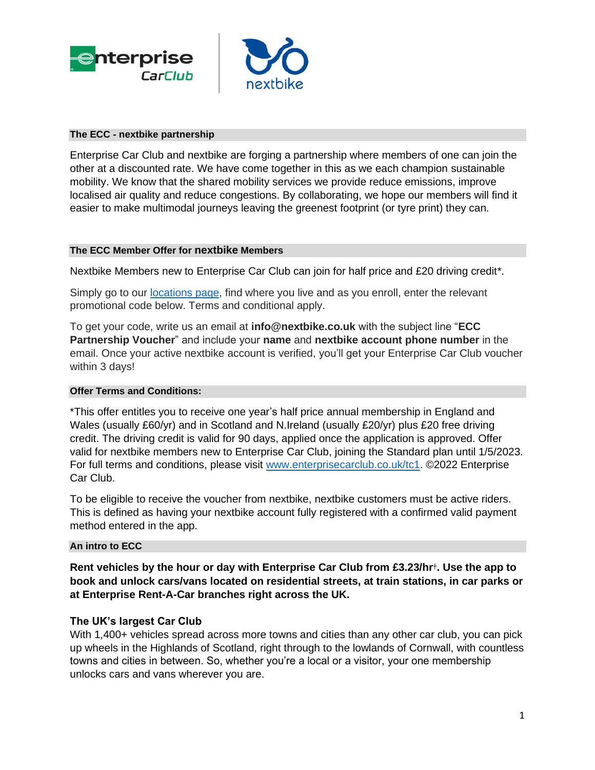



#### **The ECC - nextbike partnership**

Enterprise Car Club and nextbike are forging a partnership where members of one can join the other at a discounted rate. We have come together in this as we each champion sustainable mobility. We know that the shared mobility services we provide reduce emissions, improve localised air quality and reduce congestions. By collaborating, we hope our members will find it easier to make multimodal journeys leaving the greenest footprint (or tyre print) they can.

#### **The ECC Member Offer for nextbike Members**

Nextbike Members new to Enterprise Car Club can join for half price and £20 driving credit\*.

Simply go to our [locations page,](https://www.enterprisecarclub.co.uk/gb/en/locations.html) find where you live and as you enroll, enter the relevant promotional code below. Terms and conditional apply.

To get your code, write us an email at **info@nextbike.co.uk** with the subject line "**ECC Partnership Voucher**" and include your **name** and **nextbike account phone number** in the email. Once your active nextbike account is verified, you'll get your Enterprise Car Club voucher within 3 days!

### **Offer Terms and Conditions:**

\*This offer entitles you to receive one year's half price annual membership in England and Wales (usually £60/yr) and in Scotland and N.Ireland (usually £20/yr) plus £20 free driving credit. The driving credit is valid for 90 days, applied once the application is approved. Offer valid for nextbike members new to Enterprise Car Club, joining the Standard plan until 1/5/2023. For full terms and conditions, please visit [www.enterprisecarclub.co.uk/tc1.](http://www.enterprisecarclub.co.uk/tc1) ©2022 Enterprise Car Club.

To be eligible to receive the voucher from nextbike, nextbike customers must be active riders. This is defined as having your nextbike account fully registered with a confirmed valid payment method entered in the app.

#### **An intro to ECC**

**Rent vehicles by the hour or day with Enterprise Car Club from £3.23/hr**†**. Use the app to book and unlock cars/vans located on residential streets, at train stations, in car parks or at Enterprise Rent-A-Car branches right across the UK.**

### **The UK's largest Car Club**

With 1,400+ vehicles spread across more towns and cities than any other car club, you can pick up wheels in the Highlands of Scotland, right through to the lowlands of Cornwall, with countless towns and cities in between. So, whether you're a local or a visitor, your one membership unlocks cars and vans wherever you are.